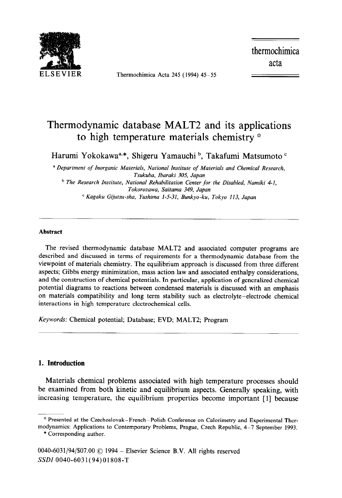

**ELSEVIER** Thermochimica Acta 245 (1994) 45-55

thermochimica acta

# Thermodynamic database MALT2 and its applications to high temperature materials chemistry  $\dot{x}$

Harumi Yokokawa<sup>a,\*</sup>, Shigeru Yamauchi<sup>b</sup>, Takafumi Matsumoto<sup>c</sup>

*a Department of Inorganic Materials, National Institute of Materials and Chemical Research, Tsukuba, Ibaraki 305, Japan* 

*b The Research Institute, National Rehabilitation Center for the Disabled, Namiki 4-1, Tokorozawa, Saitama 349, Japan ' Kagaku Gijutsu-sha, Yushima l-5-31, Bunkyo-ku, Tokyo 113, Japan* 

#### **Abstract**

The revised thermodynamic database **MALT2** and associated computer programs are described and discussed in terms of requirements for a thermodynamic database from the viewpoint of materials chemistry. The equilibrium approach is discussed from three different aspects; Gibbs energy minimization, mass action law and associated enthalpy considerations, and the construction of chemical potentials. In particular, application of generalized chemical potential diagrams to reactions between condensed materials is discussed with an emphasis on materials compatibility and long term stability such as electrolyte-electrode chemical interactions in high temperature electrochemical cells.

*Keywords:* Chemical potential; Database; EVD; MALTZ; Program

## **1. Introduction**

Materials chemical problems associated with high temperature processes should be examined from both kinetic and equilibrium aspects. Generally speaking, with increasing temperature, the equilibrium properties become important [l] because

\* Corresponding author.

<sup>\*</sup> Presented at the Czechoslovak-French-Polish Conference on Calorimetry and Experimental Thermodynamics: Applications to Contemporary Problems, Prague, Czech Republic, 4-7 September 1993.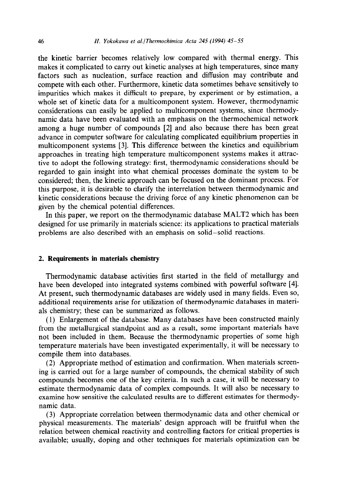the kinetic barrier becomes relatively low compared with thermal energy. This makes it complicated to carry out kinetic analyses at high temperatures, since many factors such as nucleation, surface reaction and diffusion may contribute and compete with each other. Furthermore, kinetic data sometimes behave sensitively to impurities which makes it difficult to prepare, by experiment or by estimation, a whole set of kinetic data for a multicomponent system. However, thermodynamic considerations can easily be applied to multicomponent systems, since thermodynamic data have been evaluated with an emphasis on the thermochemical network among a huge number of compounds [2] and also because there has been great advance in computer software for calculating complicated equilibrium properties in multicomponent systems [3]. This difference between the kinetics and equilibrium approaches in treating high temperature multicomponent systems makes it attractive to adopt the following strategy: first, thermodynamic considerations should be regarded to gain insight into what chemical processes dominate the system to be considered; then, the kinetic approach can be focused on the dominant process. For this purpose, it is desirable to clarify the interrelation between thermodynamic and kinetic considerations because the driving force of any kinetic phenomenon can be given by the chemical potential differences.

In this paper, we report on the thermodynamic database MALT2 which has been designed for use primarily in materials science: its applications to practical materials problems are also described with an emphasis on solid-solid reactions.

#### 2. **Requirements in materials chemistry**

Thermodynamic database activities first started in the field of metallurgy and have been developed into integrated systems combined with powerful software [4]. At present, such thermodynamic databases are widely used in many fields. Even so, additional requirements arise for utilization of thermodynamic databases in materials chemistry; these can be summarized as follows.

( 1) Enlargement of the database. Many databases have been constructed mainly from the metallurgical standpoint and as a result, some important materials have not been included in them. Because the thermodynamic properties of some high temperature materials have been investigated experimentally, it will be necessary to compile them into databases.

(2) Appropriate method of estimation and confirmation. When materials screening is carried out for a large number of compounds, the chemical stability of such compounds becomes one of the key criteria. In such a case, it will be necessary to estimate thermodynamic data of complex compounds. It will also be necessary to examine how sensitive the calculated results are to different estimates for thermodynamic data.

(3) Appropriate correlation between thermodynamic data and other chemical or physical measurements. The materials' design approach will be fruitful when the relation between chemical reactivity and controlling factors for critical properties is available; usually, doping and other techniques for materials optimization can be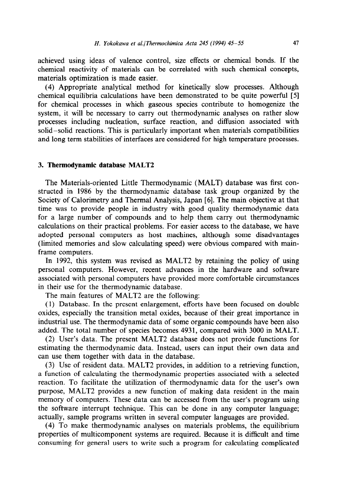achieved using ideas of valence control, size effects or chemical bonds. If the chemical reactivity of materials can be correlated with such chemical concepts, materials optimization is made easier.

(4) Appropriate analytical method for kinetically slow processes. Although chemical equilibria calculations have been demonstrated to be quite powerful [5] for chemical processes in which gaseous species contribute to homogenize the system, it will be necessary to carry out thermodynamic analyses on rather slow processes including nucleation, surface reaction, and diffusion associated with solid-solid reactions. This is particularly important when materials compatibilities and long term stabilities of interfaces are considered for high temperature processes.

## 3. **Thermodynamic database MALT2**

The Materials-oriented Little Thermodynamic (MALT) database was first constructed in 1986 by the thermodynamic database task group organized by the Society of Calorimetry and Thermal Analysis, Japan [6]. The main objective at that time was to provide people in industry with good quality thermodynamic data for a large number of compounds and to help them carry out thermodynamic calculations on their practical problems. For easier access to the database, we have adopted personal computers as host machines, although some disadvantages (limited memories and slow calculating speed) were obvious compared with mainframe computers.

In 1992, this system was revised as MALT2 by retaining the policy of using personal computers. However, recent advances in the hardware and software associated with personal computers have provided more comfortable circumstances in their use for the thermodynamic database.

The main features of MALT2 are the following:

(1) Database. In the present enlargement, efforts have been focused on double oxides, especially the transition metal oxides, because of their great importance in industrial use. The thermodynamic data of some organic compounds have been also added. The total number of species becomes 4931, compared with 3000 in MALT.

(2) User's data. The present MALT2 database does not provide functions for estimating the thermodynamic data. Instead, users can input their own data and can use them together with data in the database.

(3) Use of resident data. MALT2 provides, in addition to a retrieving function, a function of calculating the thermodynamic properties associated with a selected reaction. To facilitate the utilization of thermodynamic data for the user's own purpose, MALT2 provides a new function of making data resident in the main memory of computers. These data can be accessed from the user's program using the software interrupt technique. This can be done in any computer language; actually, sample programs written in several computer languages are provided.

(4) To make thermodynamic analyses on materials problems, the equilibrium properties of multicomponent systems are required. Because it is difficult and time consuming for general users to write such a program for calculating complicated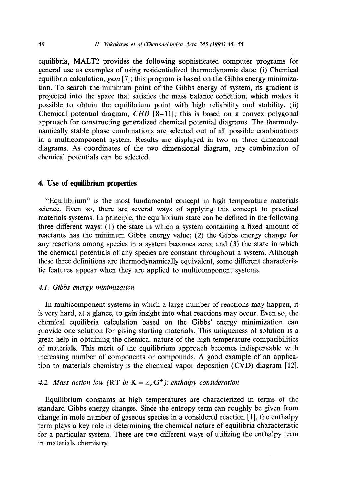equilibria, MALT2 provides the following sophisticated computer programs for general use as examples of using residentialized thermodynamic data: (i) Chemical equilibria calculation, gem  $[7]$ ; this program is based on the Gibbs energy minimization. To search the minimum point of the Gibbs energy of system, its gradient is projected into the space that satisfies the mass balance condition, which makes it possible to obtain the equilibrium point with high reliability and stability. (ii) Chemical potential diagram, *CHD [S-* 111; this is based on a convex polygonal approach for constructing generalized chemical potential diagrams. The thermodynamically stable phase combinations are selected out of all possible combinations in a multicomponent system. Results are displayed in two or three dimensional diagrams. As coordinates of the two dimensional diagram, any combination of chemical potentials can be selected.

### 4. **Use of equilibrium properties**

"Equilibrium" is the most fundamental concept in high temperature materials science. Even so, there are several ways of applying this concept to practical materials systems. In principle, the equilibrium state can be defined in the following three different ways: (1) the state in which a system containing a fixed amount of reactants has the minimum Gibbs energy value; (2) the Gibbs energy change for any reactions among species in a system becomes zero; and (3) the state in which the chemical potentials of any species are constant throughout a system. Although these three definitions are thermodynamically equivalent, some different characteristic features appear when they are applied to multicomponent systems.

# 4.1. *Gibbs energy minimization*

In multicomponent systems in which a large number of reactions may happen, it is very hard, at a glance, to gain insight into what reactions may occur. Even so, the chemical equilibria calculation based on the Gibbs' energy minimization can provide one solution for giving starting materials. This uniqueness of solution is a great help in obtaining the chemical nature of the high temperature compatibilities of materials. This merit of the equilibrium approach becomes indispensable with increasing number of components or compounds. A good example of an application to materials chemistry is the chemical vapor deposition (CVD) diagram [ 121.

# 4.2. *Mass action low (RT ln K =*  $A_r$ *G<sup>* $\div$ *</sup>): enthalpy consideration*

Equilibrium constants at high temperatures are characterized in terms of the standard Gibbs energy changes. Since the entropy term can roughly be given from change in mole number of gaseous species in a considered reaction [ 11, the enthalpy term plays a key role in determining the chemical nature of equilibria characteristic for a particular system. There are two different ways of utilizing the enthalpy term in materials chemistry.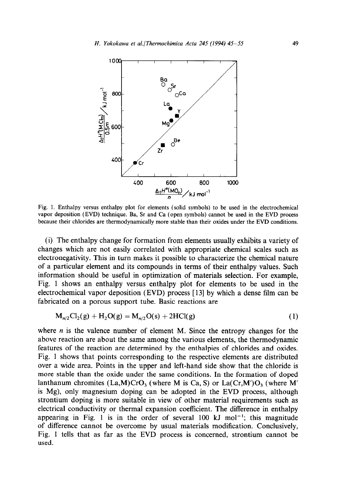

Fig. 1. Enthalpy versus enthalpy plot for elements (solid symbols) to be used in the electrochemical vapor deposition (EVD) technique. Ba, Sr and Ca (open symbols) cannot be used in the EVD process because their chlorides are thermodynamically more stable than their oxides under the EVD conditions.

(i) The enthalpy change for formation from elements usually exhibits a variety of changes which are not easily correlated with appropriate chemical scales such as electronegativity. This in turn makes it possible to characterize the chemical nature of a particular element and its compounds in terms of their enthalpy values. Such information should be useful in optimization of materials selection. For example, Fig. 1 shows an enthalpy versus enthalpy plot for elements to be used in the electrochemical vapor deposition (EVD) process [ 131 by which a dense film can be fabricated on a porous support tube. Basic reactions are

$$
M_{n/2}Cl_2(g) + H_2O(g) = M_{n/2}O(s) + 2HCl(g)
$$
 (1)

where  $n$  is the valence number of element M. Since the entropy changes for the above reaction are about the same among the various elements, the thermodynamic features of the reaction are determined by the enthalpies of chlorides and oxides. Fig. 1 shows that points corresponding to the respective elements are distributed over a wide area. Points in the upper and left-hand side show that the chloride is more stable than the oxide under the same conditions. In the formation of doped lanthanum chromites  $(La, M)CrO<sub>3</sub>$  (where M is Ca, S) or  $La(Cr, M')O<sub>3</sub>$  (where M' is Mg), only magnesium doping can be adopted in the EVD process, although strontium doping is more suitable in view of other material requirements such as electrical conductivity or thermal expansion coefficient. The difference in enthalpy appearing in Fig. 1 is in the order of several 100 kJ mol<sup>-1</sup>; this magnitude of difference cannot be overcome by usual materials modification. Conclusively, Fig. 1 tells that as far as the EVD process is concerned, strontium cannot be used.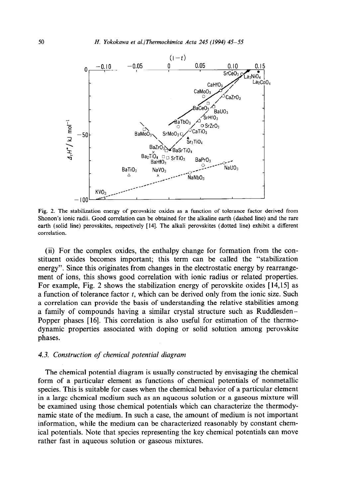

Fig. 2. The stabilization energy of perovskite oxides as a function of tolerance factor derived from Shonon's ionic radii. Good correlation can be obtained for the alkaline earth (dashed line) and the rare earth (solid line) perovskites, respectively [ 141. The alkali perovskites (dotted line) exhibit a different correlation.

(ii) For the complex oxides, the enthalpy change for formation from the constituent oxides becomes important; this term can be called the "stabilization energy". Since this originates from changes in the electrostatic energy by rearrangement of ions, this shows good correlation with ionic radius or related properties. For example, Fig. 2 shows the stabilization energy of perovskite oxides [14,15] as a function of tolerance factor  $t$ , which can be derived only from the ionic size. Such a correlation can provide the basis of understanding the relative stabilities among a family of compounds having a similar crystal structure such as Ruddlesden-Popper phases [16]. This correlation is also useful for estimation of the thermodynamic properties associated with doping or solid solution among perovskite phases.

#### 4.3. *Construction of chemical potential diagram*

The chemical potential diagram is usually constructed by envisaging the chemical form of a particular element as functions of chemical potentials of nonmetallic species. This is suitable for cases when the chemical behavior of a particular element in a large chemical medium such as an aqueous solution or a gaseous mixture will be examined using those chemical potentials which can characterize the thermodynamic state of the medium. In such a case, the amount of medium is not important information, while the medium can be characterized reasonably by constant chemical potentials. Note that species representing the key chemical potentials can move rather fast in aqueous solution or gaseous mixtures.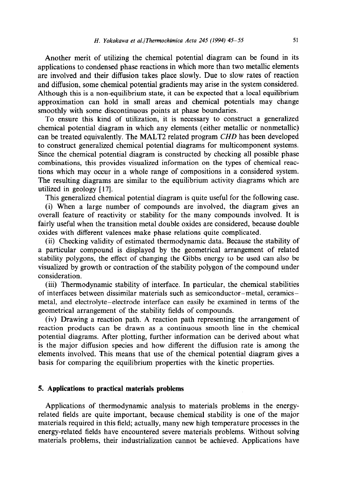Another merit of utilizing the chemical potential diagram can be found in its applications to condensed phase reactions in which more than two metallic elements are involved and their diffusion takes place slowly. Due to slow rates of reaction and diffusion, some chemical potential gradients may arise in the system considered. Although this is a non-equilibrium state, it can be expected that a local equilibrium approximation can hold in small areas and chemical potentials may change smoothly with some discontinuous points at phase boundaries.

To ensure this kind of utilization, it is necessary to construct a generalized chemical potential diagram in which any elements (either metallic or nonmetallic) can be treated equivalently. The MALT2 related program *CHD* has been developed to construct generalized chemical potential diagrams for multicomponent systems. Since the chemical potential diagram is constructed by checking all possible phase combinations, this provides visualized information on the types of chemical reactions which may occur in a whole range of compositions in a considered system. The resulting diagrams are similar to the equilibrium activity diagrams which are utilized in geology [ 171.

This generalized chemical potential diagram is quite useful for the following case.

(i) When a large number of compounds are involved, the diagram gives an overall feature of reactivity or stability for the many compounds involved. It is fairly useful when the transition metal double oxides are considered, because double oxides with different valences make phase relations quite complicated.

(ii) Checking validity of estimated thermodynamic data. Because the stability of a particular compound is displayed by the geometrical arrangement of related stability polygons, the effect of changing the Gibbs energy to be used can also be visualized by growth or contraction of the stability polygon of the compound under consideration.

(iii) Thermodynamic stability of interface. In particular, the chemical stabilities of interfaces between dissimilar materials such as semiconductor-metal, ceramicsmetal, and electrolyte-electrode interface can easily be examined in terms of the geometrical arrangement of the stability fields of compounds.

(iv) Drawing a reaction path. A reaction path representing the arrangement of reaction products can be drawn as a continuous smooth line in the chemical potential diagrams. After plotting, further information can be derived about what is the major diffusion species and how different the diffusion rate is among the elements involved. This means that use of the chemical potential diagram gives a basis for comparing the equilibrium properties with the kinetic properties.

#### **5. Applications to practical materials problems**

Applications of thermodynamic analysis to materials problems in the energyrelated fields are quite important, because chemical stability is one of the major materials required in this field; actually, many new high temperature processes in the energy-related fields have encountered severe materials problems. Without solving materials problems, their industrialization cannot be achieved. Applications have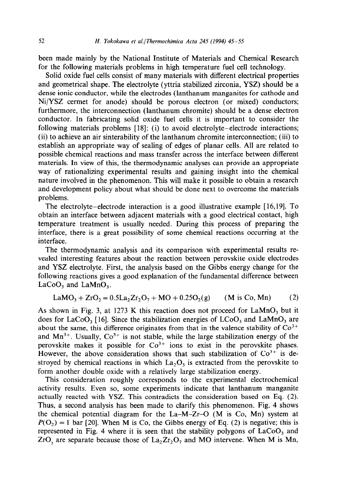been made mainly by the National Institute of Materials and Chemical Research for the following materials problems in high temperature fuel cell technology.

Solid oxide fuel cells consist of many materials with different electrical properties and geometrical shape. The electrolyte (yttria stabilized zirconia, YSZ) should be a dense ionic conductor, while the electrodes (lanthanum manganites for cathode and Ni/YSZ cermet for anode) should be porous electron (or mixed) conductors; furthermore, the interconnection (lanthanum chromite) should be a dense electron conductor. In fabricating solid oxide fuel cells it is important to consider the following materials problems [18]: (i) to avoid electrolyte-electrode interactions; (ii) to achieve an air sinterability of the lanthanum chromite interconnection; (iii) to establish an appropriate way of sealing of edges of planar cells. All are related to possible chemical reactions and mass transfer across the interface between different materials. In view of this, the thermodynamic analyses can provide an appropriate way of rationalizing experimental results and gaining insight into the chemical nature involved in the phenomenon. This will make it possible to obtain a research and development policy about what should be done next to overcome the materials problems.

The electrolyte-electrode interaction is a good illustrative example [ 16,191. To obtain an interface between adjacent materials with a good electrical contact, high temperature treatment is usually needed. During this process of preparing the interface, there is a great possibility of some chemical reactions occurring at the interface.

The thermodynamic analysis and its comparison with experimental results revealed interesting features about the reaction between perovskite oxide electrodes and YSZ electrolyte. First, the analysis based on the Gibbs energy change for the following reactions gives a good explanation of the fundamental difference between  $LaCoO<sub>3</sub>$  and  $LaMnO<sub>3</sub>$ .

$$
LaMO_3 + ZrO_2 = 0.5La_2Zr_2O_7 + MO + 0.25O_2(g) \qquad (M \text{ is } Co, Mn) \tag{2}
$$

As shown in Fig. 3, at 1273 K this reaction does not proceed for  $\text{LaMnO}_3$  but it does for LaCoO<sub>3</sub> [16]. Since the stabilization energies of  $LCoO<sub>3</sub>$  and LaMnO<sub>3</sub> are about the same, this difference originates from that in the valence stability of  $Co<sup>3+</sup>$ and  $Mn^{3+}$ . Usually,  $Co^{3+}$  is not stable, while the large stabilization energy of the perovskite makes it possible for  $Co<sup>3+</sup>$  ions to exist in the perovskite phases. However, the above consideration shows that such stabilization of  $Co<sup>3+</sup>$  is destroyed by chemical reactions in which  $La<sub>2</sub>O<sub>3</sub>$  is extracted from the perovskite to form another double oxide with a relatively large stabilization energy.

This consideration roughly corresponds to the experimental electrochemical activity results. Even so, some experiments indicate that lanthanum manganite actually reacted with YSZ. This contradicts the consideration based on Eq. (2). Thus, a second analysis has been made to clarify this phenomenon. Fig. 4 shows the chemical potential diagram for the  $La-M-Zr-O$  (M is Co, Mn) system at  $P(O_2) = 1$  bar [20]. When M is Co, the Gibbs energy of Eq. (2) is negative; this is represented in Fig. 4 where it is seen that the stability polygons of LaCoO, and ZrO, are separate because those of  $La_2Zr_2O_7$  and MO intervene. When M is Mn,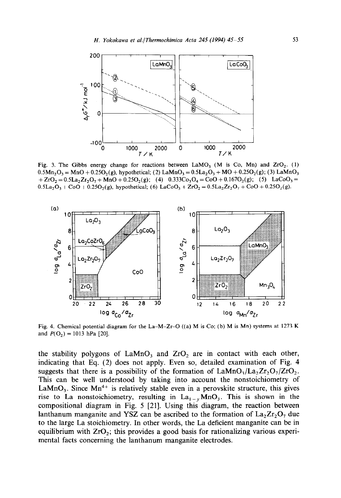

Fig. 3. The Gibbs energy change for reactions between  $\text{LAMO}_3$  (M is Co, Mn) and ZrO<sub>2</sub>. (1)  $0.5Mn_2O_3 = MnO + 0.25O_2(g)$ , hypothetical; (2) LaMn $O_3 = 0.5La_2O_3 + MO + 0.25O_2(g)$ ; (3) LaMn $O_3$  $+ ZrO<sub>2</sub> = 0.5La<sub>2</sub>Zr<sub>2</sub>O<sub>7</sub> + MnO + 0.25O<sub>2</sub>(g);$  (4)  $0.333Co<sub>3</sub>O<sub>4</sub> = CoO + 0.167O<sub>2</sub>(g);$  (5) LaCoO<sub>3</sub>  $0.5La_2O_3 + CoO + 0.25O_2(g)$ , hypothetical; (6)  $LaCoO_3 + ZrO_2 = 0.5La_2Zr_2O_7 + CoO + 0.25O_2(g)$ .



Fig. 4. Chemical potential diagram for the La-M-Zr-0 ((a) M is Co; (b) M is Mn) systems at 1273 K and  $P(O_2) = 1013$  hPa [20].

the stability polygons of  $\text{LaMnO}_3$  and  $\text{ZrO}_2$  are in contact with each other, indicating that Eq. (2) does not apply. Even so, detailed examination of Fig. 4 suggests that there is a possibility of the formation of  $\text{LaMnO}_3/\text{La}_2\text{Zr}_2\text{O}_7/\text{ZrO}_2$ . This can be well understood by taking into account the nonstoichiometry of  $LaMnO<sub>3</sub>$ . Since  $Mn^{4+}$  is relatively stable even in a perovskite structure, this gives rise to La nonstoichiometry, resulting in  $La_{1-y}MnO_3$ . This is shown in the compositional diagram in Fig. 5 [21]. Using this diagram, the reaction between lanthanum manganite and YSZ can be ascribed to the formation of  $La_2Zr_2O_7$  due to the large La stoichiometry. In other words, the La deficient manganite can be in equilibrium with  $ZrO<sub>2</sub>$ ; this provides a good basis for rationalizing various experimental facts concerning the lanthanum manganite electrodes.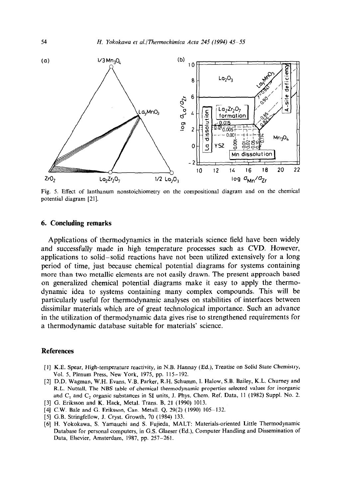

Fig. 5. Effect of lanthanum nonstoichiometry on the compositional diagram and on the chemical potential diagram [21].

# **6. Concluding remarks**

Applications of thermodynamics in the materials science field have been widely and successfully made in high temperature processes such as CVD. However, applications to solid-solid reactions have not been utilized extensively for a long period of time, just because chemical potential diagrams for systems containing more than two metallic elements are not easily drawn. The present approach based on generalized chemical potential diagrams make it easy to apply the thermodynamic idea to systems containing many complex compounds. This will be particularly useful for thermodynamic analyses on stabilities of interfaces between dissimilar materials which are of great technological importance. Such an advance in the utilization of thermodynamic data gives rise to strengthened requirements for a thermodynamic database suitable for materials' science.

#### **References**

- [I] K.E. Spear, High-temperature reactivity, in N.B. Hannay (Ed.), Treatise on Solid State Chemistry, Vol. 5, Plenum Press, New York, 1975, pp. 115-192.
- [2] D.D. Wagman, W.H. Evans, V.B. Parker, R.H. Schumm, I. Halow, S.B. Bailey, K.L. Chutney and R.L. Nuttall, The NBS table of chemical thermodynamic properties selected values for inorganic and  $C_1$  and  $C_2$  organic substances in SI units, J. Phys. Chem. Ref. Data, 11 (1982) Suppl. No. 2.
- [3] G. Eriksson and K. Hack, Metal. Trans. B, 21 (1990) 1013.
- [4] C.W. Bale and G. Eriksson, Can. Metall. Q, 29(2) (1990) 105-132.
- [5] G.B. Stringfellow, J. Cryst. Growth, 70 (1984) 133.
- [6] H. Yokokawa, S. Yamauchi and S. Fujieda, MALT: Materials-oriented Little Thermodynamic Database for personal computers, in G.S. Glaeser (Ed.), Computer Handling and Dissemination of Data, Elsevier, Amsterdam, 1987, pp. 257-261.